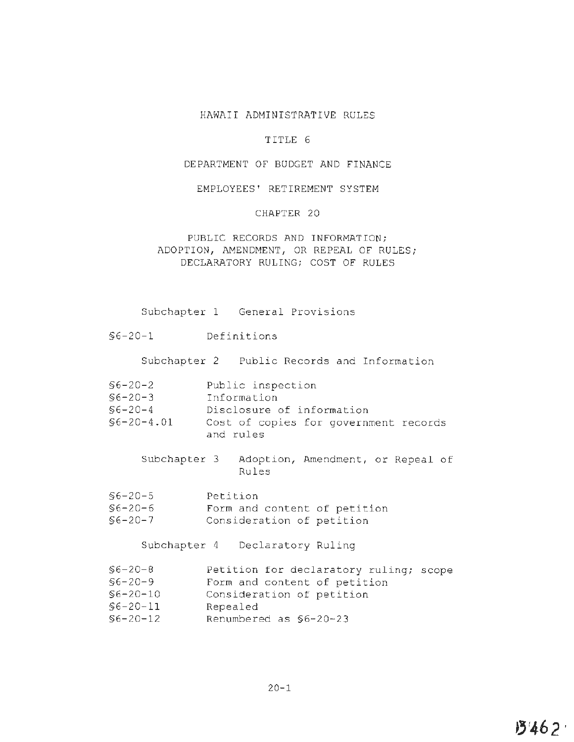# HAWAII ADMINISTRATIVE RULES

# TITLE 6

### DEPARTMENT OF BUDGET AND FINANCE

### EMPLOYEES' RETIREMENT SYSTEM

### CHAPTER 20

# PUBLIC RECORDS AND INFORMATION; ADOPTION, AMENDMENT, OR REPEAL OF RULES; DECLARATORY RULING; COST OF RULES

Subchapter l General Provisions

§6-20-1 Definitions

Subchapter 2 Public Records and Information

- §6-20-2 Public inspection
- §6-20-3 Information
- §6-20-4 Disclosure of information
- §6-20-4 . 01 Cost of copies for government records and rules
	- Subchapter 3 Adoption, Amendment, or Repeal of Rules
- §6-20-5 Petition
- §6-20-6 Form and content of petition
- §6-20-7 Consideration of petition

Subchapter 4 Declaratory Ruling

- §6-20-8 Petition for declaratory ruling; scope
- §6-20-9 Form and content of petition
- §6-20-10 Consideration of petition
- §6-20-11 Repealed
- §6-20-12 Renumbered as §6-20-23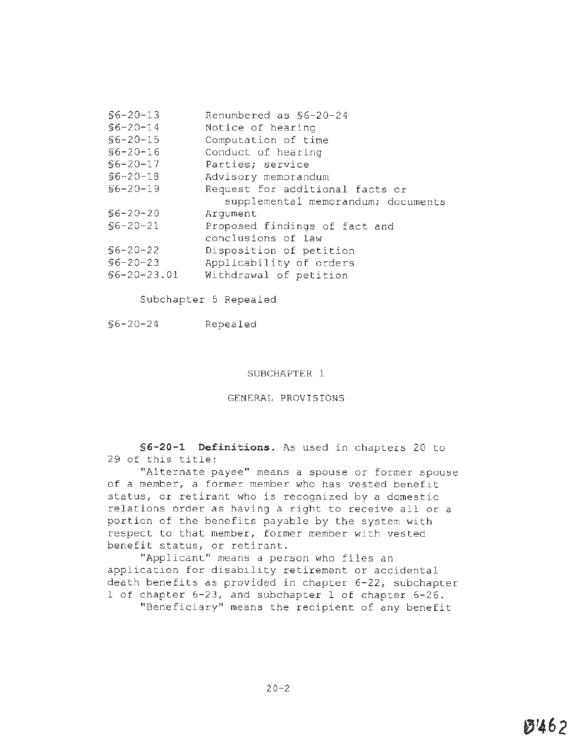| $$6 - 20 - 13$ | Renumbered as \$6-20-24            |
|----------------|------------------------------------|
| $$6 - 20 - 14$ | Notice of hearing                  |
| $$6 - 20 - 15$ | Computation of time                |
| $$6 - 20 - 16$ | Conduct of hearing                 |
| $$6-20-17$     | Parties; service                   |
| $$6 - 20 - 18$ | Advisory memorandum                |
| $$6 - 20 - 19$ | Request for additional facts or    |
|                | supplemental memorandum; documents |
| $$6 - 20 - 20$ | Arqument                           |
| $$6 - 20 - 21$ | Proposed findings of fact and      |
|                | conclusions of law                 |
| $$6 - 20 - 22$ | Disposition of petition            |
| $$6 - 20 - 23$ | Applicability of orders            |
| $$6-20-23.01$  | Withdrawal of petition             |
|                |                                    |

Subchapter 5 Repealed

#### SUBCHAPTER 1

# GENERAL PROVISIONS

**§6-20-1 Definitions.** As used in chapters 20 to 29 of this title:

"Alternate payee" means a spouse or former spouse of a member, a former member who has vested benefit status, or retirant who is recognized by a domestic relations order as having a right to receive all or a portion of the benefits payable by the system with respect to that member, former member with vested benefit status, or retirant.

"Applicant" means a person who files an application for disability retirement or accidental death benefits as provided in chapter 6-22, subchapter 1 of chapter 6-23, and subchapter 1 of chapter 6-26.

"Beneficiary" means the recipient of any benefit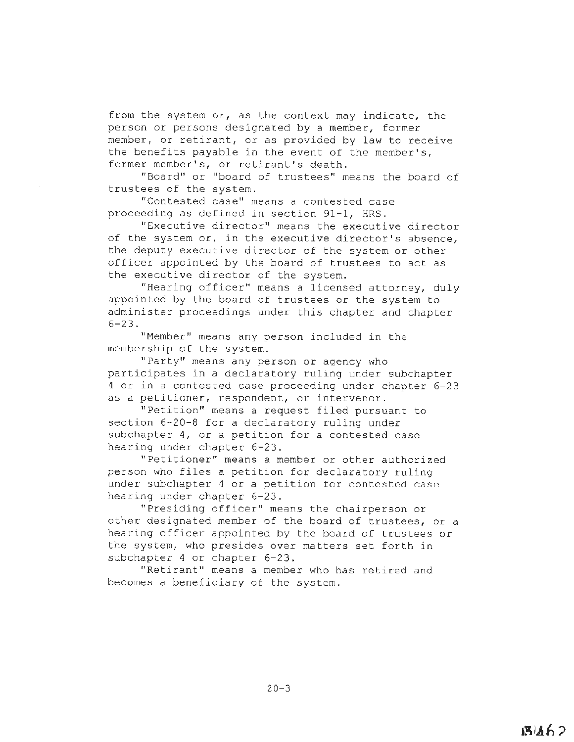from the system or, as the context may indicate, the person or persons designated by a member, former member, or retirant, or as provided by law to receive the benefits payable in the event of the member's, former member's, or retirant's death.

"Board" or "board of trustees" means the board of trustees of the system.

"Contested case" means a contested case proceeding as defined in section 91-1, HRS.

"Executive director" means the executive director of the system or, in the executive director's absence, the deputy executive director of the system or other officer appointed by the board of trustees to act as the executive director of the system.

"Hearing officer" means a licensed attorney, duly appointed by the board of trustees or the system to administer proceedings under this chapter and chapter 6-23.

"Member" means any person included in the membership of the system.

"Party" means any person or agency who participates in a declaratory ruling under subchapter 4 or in a contested case proceeding under chapter 6-23 as a petitioner, respondent, or intervenor.

"Petition" means a request filed pursuant to section 6-20-8 for a declaratory ruling under subchapter 4, or a petition for a contested case hearing under chapter 6-23.

"Petitioner" means a member or other authorized person who files a petition for declaratory ruling under subchapter 4 or a petition for contested case hearing under chapter 6-23.

"Presiding officer" means the chairperson or other designated member of the board of trustees, or a hearing officer appointed by the board of trustees or the system, who presides over matters set forth in subchapter 4 or chapter 6-23.

"Retirant" means a member who has retired and becomes a beneficiary of the system.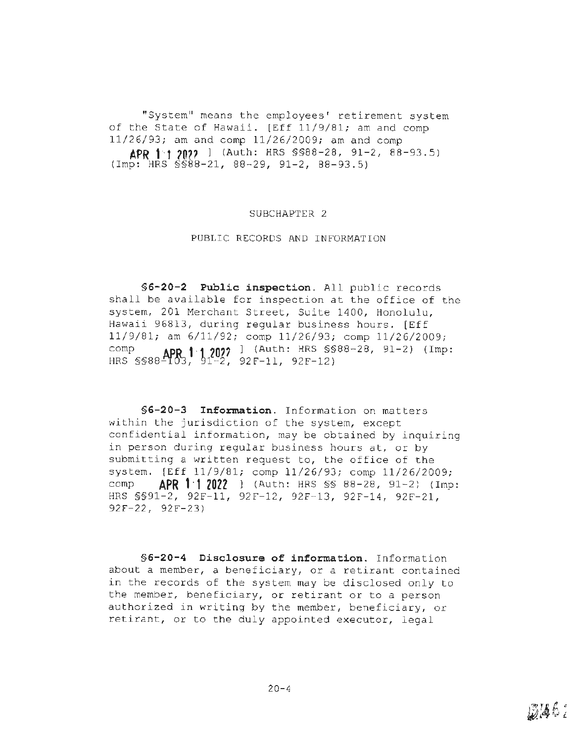"System" means the employees' retirement system of the State of Hawaii. [Eff 11/9/81; am and comp 11/26/93; am and comp 11/26/2009; am and comp **APR 1·1** *?On* l (Auth: HRS §§88-28, 91-2, 88-93.5) {Imp: HRS §§88-21, 88-29, 91-2, 88-93.5)

### SUBCHAPTER 2

### PUBLIC RECORDS AND INFORMATION

**§6-20-2 Public inspection.** All public records shall be available for inspection at the office of the system, 201 Merchant Street, Suite 1400, Honolulu, Hawaii 96813, during regular business hours. [Eff 11/9/81; am 6/11/92; comp 11/26/93; comp 11/26/2009; comp **APP 1·1 2022** <sup>1</sup> (Auth: HRS §§88-28, 91-2) (Imp: HRS §§88~0'3, ~1-2, 92F-11, 92F-12)

**§G-20-3 Information.** Information on matters within the jurisdiction of the system, except confidential information, may be obtained by inquiring in person during regular business hours at, or by submitting a written request to, the office of the system. [Eff 11/9/81; comp 11/26/93; comp 11/26/2009; comp **APR 1·1 2022** l (Auth: HRS§§ 88-28, 91-2 ) (Imp: HRS §§91-2, 92F-11, 92F-12, 92F-13, 92F-14, 92F-21, 92F-22, 92F-23 )

**§6-20-4 Disclosure of information.** Information about a member, a beneficiary, or a retirant contained in the records of the system may be disclosed only to the member, beneficiary, or retirant or to a person authorized in writing by the member, beneficiary, or retirant, or to the duly appointed executor, legal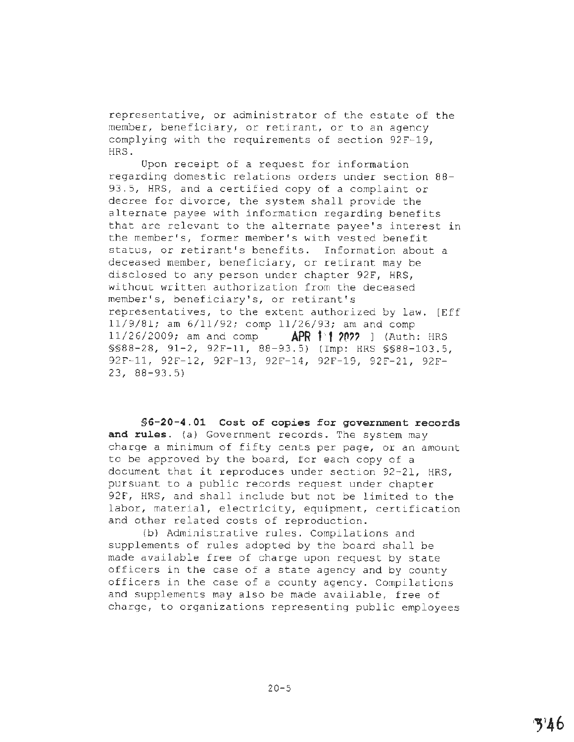representative, or administrator of the estate of the member, beneficiary, or retirant, or to an agency complying with the requirements of section 92F-19, HRS.

Opon receipt of a request for information regarding domestic relations orders under section 88- 93.5, HRS, and a certified copy of a complaint or decree for divorce, the system shall provide the alternate payee with information regarding benefits that are relevant to the alternate payee's interest in the member's, former member's with vested benefit status, or retirant's benefits. Information about a deceased member, beneficiary, or retirant may be disclosed to any person under chapter 92F, HRS, without written authorization from the deceased member's, beneficiary's, or retirant's representatives, to the extent authorized by law. [Eff 11/9/81; am 6/11/92; comp 11/26/93; am and comp 11/26/2009; am and comp **APR 11/2022** ] (Auth: HRS §§88-28, 91-2, 92F-11, 88-93.5) (Imp: HRS §§88-103.5, 92F-11, 92f-12, 92F-13, 92F-14, 92F-19, 92F-21, 92F-23, 88-93.5)

**§[6-20-4.01](https://6-20-4.01) Cost of copies for government records and rules.** (a) Government records. The system may charge a minimum of fifty cents per page, or an amount to be approved by the board, for each copy of a document that it reproduces under section 92-21, HRS, pursuant to a public records request under chapter 92F, HRS, and shall include but not be limited to the labor, material, electricity, equipment, certification and other related costs of reproduction.

(b) Administrative rules. Compilations and supplements of rules adopted by the board shall be made available free of charge upon request by state officers in the case of a state agency and by county officers in the case of a county agency. Compilations and supplements may also be made available, free of charge, to organizations representing public employees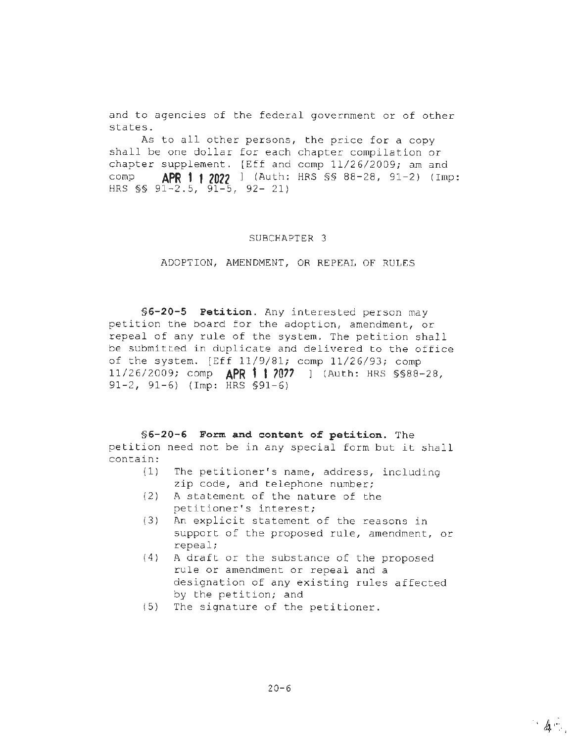and to agencies of the federal government or of other states.

As to all other persons, the price for a copy shall be one dollar for each chapter compilation or chapter supplement. [Eff and comp 11/26/2009; am and comp **APR 1·· 1 2022** ] (Auth: HRS §§ 88-28, 91-2) (Imp: HRS  $\S$ § 91-2.5, 91-5, 92- 21)

### SUBCHAPTER 3

ADOPTION, AMENDMENT, OR REPEAL OF RULES

**§6-20-5 Petition.** Any interested person may petition the board for the adoption, amendment, or repeal of any rule of the system. The petition shall be submitted in duplicate and delivered to the office of the system. [Eff 11/9/81; comp 11/26/93; comp 11/26/2009; comp **APR 1·1** *?07?* ] (Auth: HRS §§88-28, 91-2, 91-6) (Imp: HRS §91-6)

**§6-20-6 Form and content of petition.** The petition need not be in any special form but it shall contain:

- (1) The petitioner's name, address, including zip code, and telephone number;
- (2) A statement of the nature of the petitioner's interest;
- (3) An explicit statement of the reasons in support of the proposed rule, amendment, or repeal;
- (4) A draft or the substance of the proposed rule or amendment or repeal and a designation of any existing rules affected by the petition; and
- (5) The signature of the petitioner.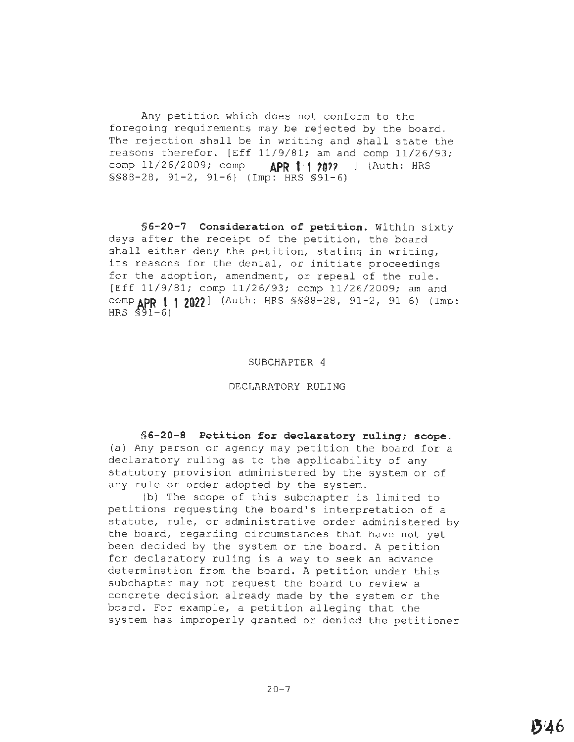Any petition which does not conform to the foregoing requirements may be rejected by the board. The rejection shall be in writing and shall state the reasons therefor. [Eff 11/9/81; am and comp 11/26/93; comp 11/26/2009; comp **APR 1·1 ?O??** ] (Auth: HRS §§88-28, 91-2, 91-6) (Imp: HRS §91-6)

**§6-20-7 Consideration of petition.** Within sixty days after the receipt of the petition, the board shall either deny the petition, stating in writing, its reasons for the denial, or initiate proceedings for the adoption, amendment, or repeal of the rule. [Eff 11/9/81; comp 11/26/93; comp 11/26/2009; am and **compAPR 1· 1 2022]** (Auth: HRS §§88-28, 91-2, 91-6) (Imp: HRS \$91-6)

### SUBCHAPTER 4

### DECLARATORY RULING

**§6-20-8 Petition for declaratory ruling; scope.**  (a) Any person or agency may petition the board for a declaratory ruling as to the applicability of any statutory provision administered by the system or of any rule or order adopted by the system.

(b) The scope of this subchapter is limited to petitions requesting the board's interpretation of a statute, rule, or administrative order administered by the board, regarding circumstances that have not yet been decided by the system or the board. A petition for declaratory ruling is a way to seek an advance determination from the board. A petition under this subchapter may not request the board to review a concrete decision already made by the system or the board. For example, a petition alleging that the system has improperly granted or denied the petitioner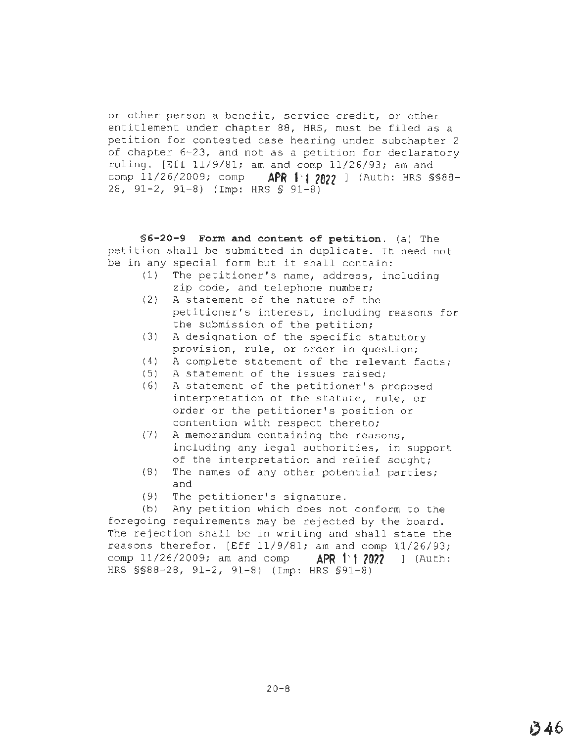or other person a benefit, service credit, or other entitlement under chapter 88, HRS, must be filed as a petition for contested case hearing under subchapter 2 of chapter 6-23, and not as a petition for declaratory ruling. [Eff 11/9/81; am and comp 11/26/93; am and comp 11/26/2009; comp **APR 1<sup>1</sup>12822** ] (Auth: HRS \$\$88-28, 91-2, 91-8) (Imp: HRS§ 91-8)

**§6-20-9 Form and content of petition.** (a) The petition shall be submitted in duplicate. It need not be in any special form but it shall contain:

- (1) The petitioner's name, address, including zip code, and telephone number;
- (2) A statement of the nature of the petitioner's interest, including reasons for the submission of the petition;
- (3) A designation of the specific statutory provision, rule, or order in question;
- (4) A complete statement of the relevant facts;
- (5) A statement of the issues raised;
- (6) A statement of the petitioner's proposed interpretation of the statute, rule, or order or the petitioner's position or contention with respect thereto;
- (7) A memorandum containing the reasons, including any legal authorities, in support of the interpretation and relief sought;
- (8) The names of any other potential parties; and
- $(9)$  The petitioner's signature.

(b) Any petition which does not conform to the foregoing requirements may be rejected by the board. The rejection shall be in writing and shall state the reasons therefor. [Eff 11/9/81; am and comp 11/26/93; comp 11/26/2009; am and comp **APR 1<sup>.</sup>1 2022** 1 (Auth: HRS §§88-28, 91-2, 91-8) (Imp: HRS §91-8)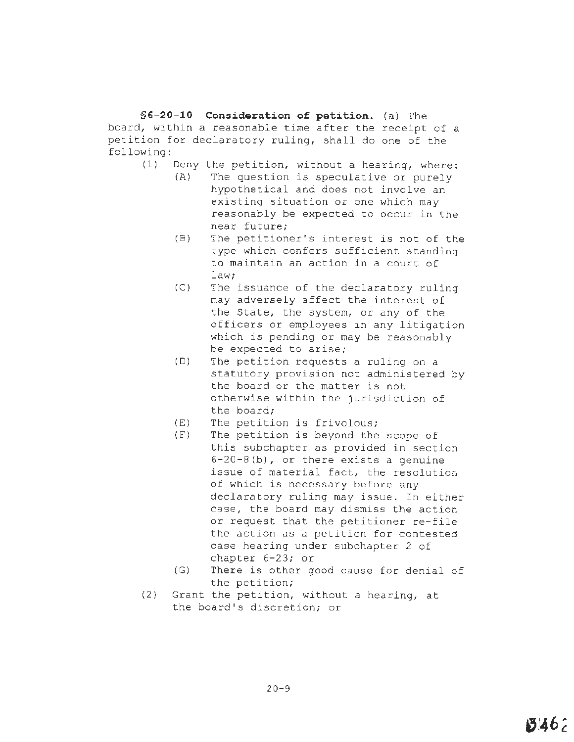**§G-20-10 Consideration of petition.** (a) The board, within a reasonable time after the receipt of a petition for declaratory ruling, shall do one of the following:

- (1) Deny the petition, without a hearing, where:
	- (A) The question is speculative or purely hypothetical and does not involve an existing situation or one which may reasonably be expected to occur in the near future;
	- (B) The petitioner's interest is not of the type which confers sufficient standing to maintain an action in a court of law;
	- (C) The issuance of the declaratory ruling may adversely affect the interest of the State, the system, or any of the officers or employees in any litigation which is pending or may be reasonably be expected to arise;
	- (D) The petition requests a ruling on a statutory provision not administered by the board or the matter is not otherwise within the jurisdiction of the board;
	- (E) The petition is frivolous;
	- (F) The petition is beyond the scope of this subchapter as provided in section 6-20-S(b), or there exists a genuine issue of material fact, the resolution of which is necessary before any declaratory ruling may issue. In either case, the board may dismiss the action or request that the petitioner re-file the action as a petition for contested case hearing under subchapter 2 of chapter 6-23; or
	- (G) There is other good cause for denial of the petition;
- (2) Grant the petition, without a hearing, at the board's discretion; or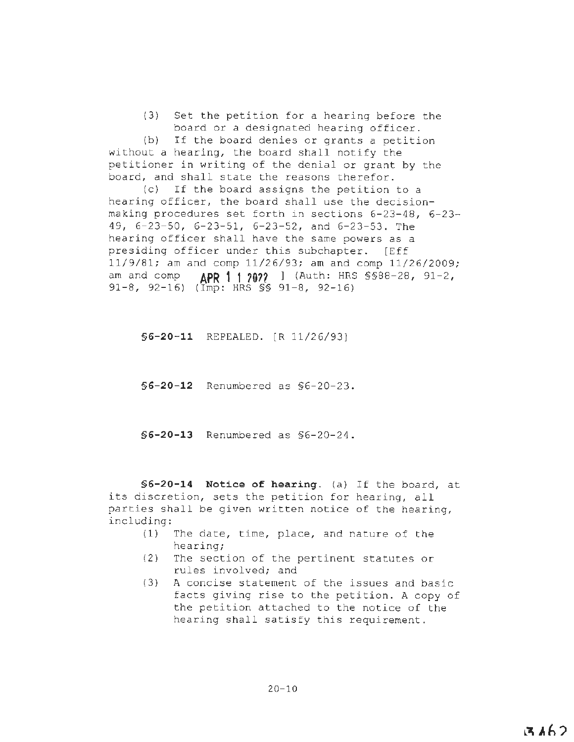(3) Set the petition for a hearing before the board or a designated hearing officer.

(b) If the board denies or grants a petition without a hearing, the board shall notify the petitioner in writing of the denial or grant by the board, and shall state the reasons therefor.

(c} If the board assigns the petition to a hearing officer, the board shall use the decisionmaking procedures set forth in sections 6-23-48, 6-23- 49, 6-23-50, 6-23-51, 6-23-52, and 6-23-53. The hearing officer shall have the same powers as a presiding officer under this subchapter. [Eff 11/9/81; am and comp 11/26/93; am and comp 11/26/2009; am and comp **APR 1 1 7022** 1 (Auth: HRS §§88-28, 91-2, 91-8, 92-16) ( $\overrightarrow{Imp}: \overrightarrow{HRS} \$  91-8, 92-16)

**§6-20-11** REPEALED. [R 11/26/93]

**§6-20-12** Renumbered as §6-20-23.

**§6-20-13** Renumbered as §6-20-24.

**§ 6-20-14 Notice of hearing.** (a) If the board, at its discretion, sets the petition for hearing, all parties shall be given written notice of the hearing, including :

- (1) The date, time, place, and nature of the hearing;
- (2) The section of the pertinent statutes or rules involved; and
- (3) A concise statement of the issues and basic facts giving rise to the petition. A copy of the petition attached to the notice of the hearing shall satisfy this requirement.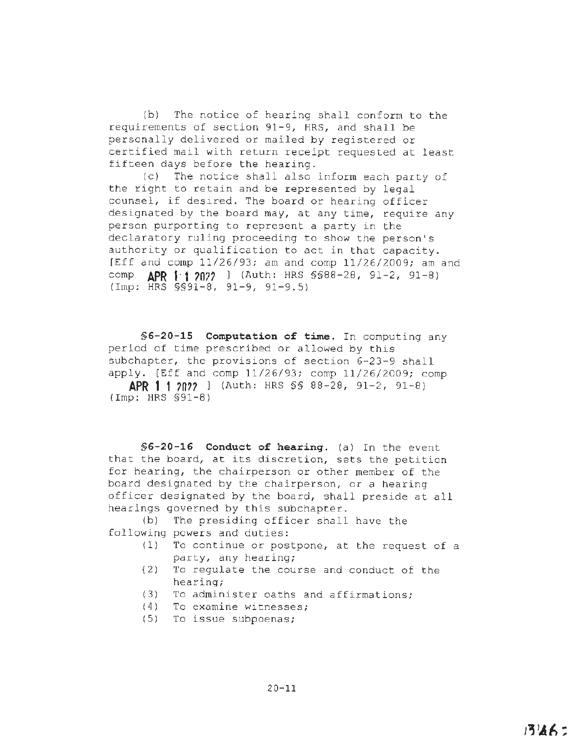(b) The notice of hearing shall conform to the requirements of section 91-9, HRS, and shall be personally delivered or mailed by registered or certified mail with return receipt requested at least fifteen days before the hearing.

(c) The notice shall also inform each party of the right to retain and be represented by legal counsel, if desired. The board or hearing officer designated by the board may, at any time, require any person purporting to represent a party in the declaratory ruling proceeding to show the person's authority or qualification to act in that capacity. [Eff and comp 11/26/93; am and comp 11/26/2009; am and comp **APR 1·1 707?** ) (Auth: HRS §§88-28, 91-2, 91-8)  $(\text{Imp}: \overrightarrow{HRS} \ \text{SS91-8}, \ \text{91-9}, \ \text{91-9.5})$ 

**§6-20-15 Computation of time.** In computing any period of time prescribed or allowed by this subchapter, the provisions of section 6-23-9 shall apply. [Eff and comp 11/26/93; comp 11/26/2009; comp **APR 1-, 7n??** l (Auth: HRS §§ 88-28, 91-2, 91-8) (Imp: HRS §91-8)

**§6-20-16 Conduct of hearing.** (a) In the event that the board, at its discretion, sets the petition for hearing, the chairperson or other member of the board designated by the chairperson, or a hearing officer designated by the board, shall preside at all hearings governed by this subchapter.

(b) The presiding officer shall have the following powers and duties:

- (1) To continue or postpone, at the request of a party, any hearing;
- {2) To regulate the course and conduct of the hearing;
- (3) To administer oaths and affirmations;
- (4) To examine witnesses;
- (5) To issue subpoenas;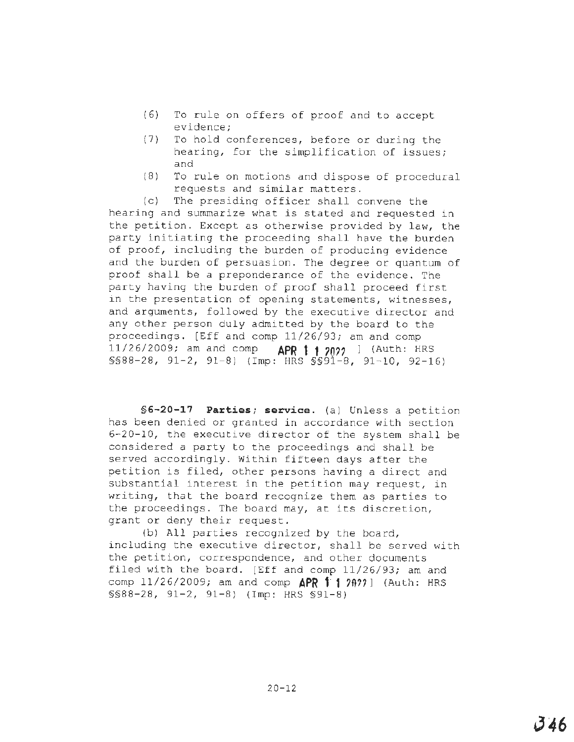- (6) To rule on offers of proof and to accept evidence;
- (7) To hold conferences, before or during the hearing, for the simplification of issues; and
- (8) To rule on motions and dispose of procedural requests and similar matters.

(c) The presiding officer shall convene the hearing and summarize what is stated and requested in the petition. Except as otherwise provided by law, the party initiating the proceeding shall have the burden of proof, including the burden of producing evidence and the burden of persuasion. The degree or quantum of proof shall be a preponderance of the evidence. The party having the burden of proof shall proceed first in the presentation of opening statements, witnesses, and arguments, followed by the executive director and any other person duly admitted by the board to the proceedings. [Eff and comp 11/26/93; am and comp 11/26/2009; am and comp **APR 1 1 70??** l {Auth: HRS §§88-28, 91-2, 91-8) {Imp: HRS §§91-8, 91-10, 92-16)

**§6-20-17 Parties; service.** (a) Unless a petition has been denied or granted in accordance with section 6-20-10, the executive director of the system shall be considered <sup>a</sup>party to the proceedings and shall be served accordingly. Within fifteen days after the petition is filed, other persons having a direct and substantial interest in the petition may request, in writing, that the board recognize them as parties to the proceedings. The board may, at its discretion, grant or deny their request.

(b) All parties recognized by the board, including the executive director, shall be served with the petition, correspondence, and other documents filed with the board. [Eff and comp 11/26/93; am and comp 11/26/2009; am and comp  $\triangle PR$  <sup>1</sup> 1 *2 A 2 3* 1 (Auth: HRS §§88-28, 91-2, 91-8) (Imp: HRS §91-8)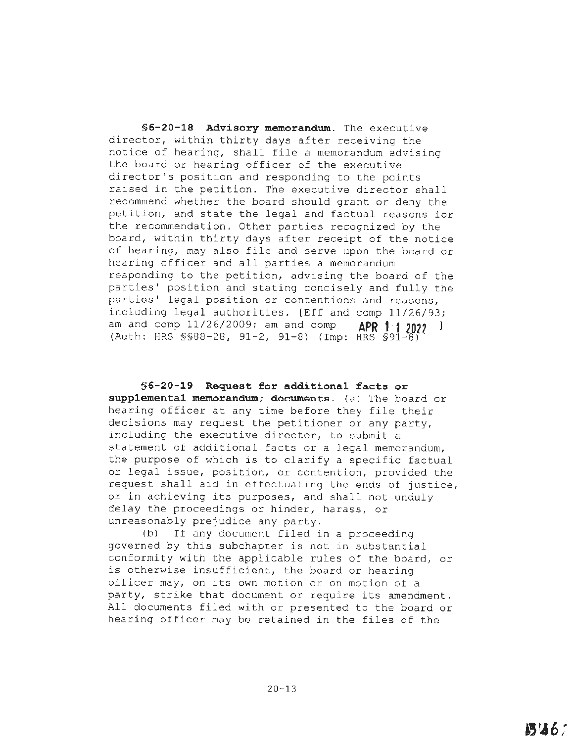**§6-20-18 Advisory memorandum.** The executive director, within thirty days after receiving the notice of hearing, shall file a memorandum advising the board or hearing officer of **the** executive director's position and responding to the points raised in the petition. The executive director shall recommend whether the board should grant or deny the petition, and state the legal and factual reasons for the recommendation. Other parties recognized by the board, within thirty days after receipt of the notice of hearing, may also file and serve upon the board or hearing officer and all parties a memorandum responding to the petition, advising the board of the parties' position and stating concisely and fully the parties' legal position or contentions and reasons, including legal authorities. [Eff and comp 11/26/93; am and comp 11/26/2009; am and comp **APR 1 1 2022 1** (Auth: HRS §§88-28, 91-2, 91-8) (Imp: HRS §91-8)

**§6-20-19 Request for additional facts or supplemental memorandum; documents.** (a) The board or hearing officer at any time before they file their decisions may request the petitioner or any party, including the executive director, to submit a statement of additional facts or a legal memorandum, the purpose of which is to clarify a specific factual or legal issue, position, or contention, provided the request shall aid in effectuating the ends of justice, or in achieving its purposes, and shall not unduly delay the proceedings or hinder, harass, or unreasonably prejudice any party.

(b) If any document filed in a proceeding governed by this subchapter is not in substantial conformity with the applicable rules of the board, or is otherwise insufficient, the board or hearing officer may, on its own motion or on motion of a party, strike that document or require its amendment. All documents filed with or presented to the board or hearing officer may be retained in the files of the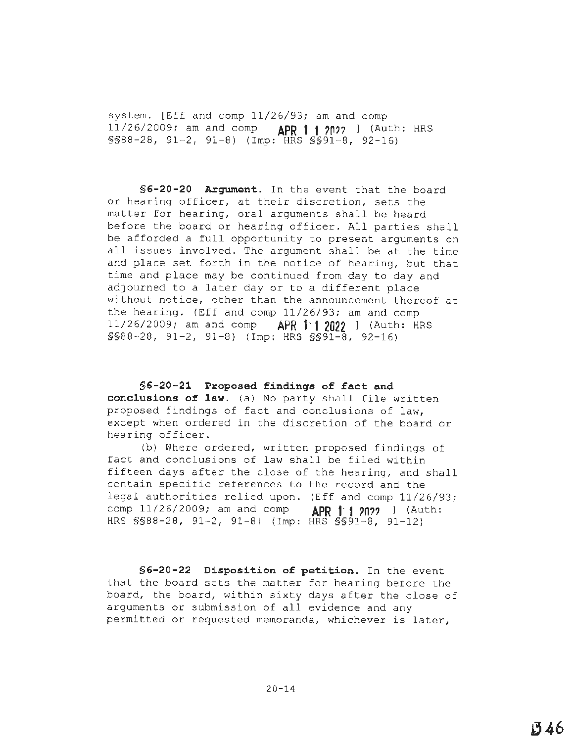system. [Eff and comp 11/26/93; am and comp 11/26/2009; am and comp **APR t· 1** *?nn* ] (Auth: HRS §§88-28, 91-2, 91-8) (Imp: HRS §§91-8, 92-16)

**§6-20-20 Argument.** In the event that the board or hearing officer, at their discretion, sets the matter for hearing, oral arguments shall be heard before the board or hearing officer. All parties shall be afforded a full opportunity to present arguments on all issues involved. The argument shall be at the time and place set forth in the notice of hearing, but that time and place may be continued from day to day and adjourned to a later day or to a different place without notice, other than the announcement thereof at the hearing. (Eff and comp 11/26/93; am and comp 11/26/2009; am and comp **APR 1·· 1 2022** ) (Auth; HRS §§88-28, 91-2, 91-8) (Imp: HRS §§91-8, 92-16)

§6-20-21 Proposed findings of fact and **conclusions of law.** (a) No party shall file written proposed findings of fact and conclusions of law, except when ordered in the discretion of the board or hearing officer.

(b) Where ordered, written proposed findings of fact and conclusions of law shall be filed within fifteen days after the close of the hearing, and shall contain specific references to the record and the legal authorities relied upon. (Eff and comp 11/26/93; comp 11/26/2009; am and comp **APR 1 1 ?0??** ] (Auth: HRS §§88-28, 91-2, 91-8) (Imp: HRS §§91-8, 91-12)

**§6-20-22 Disposition of petition.** In the event that the board sets the matter for hearing before the board, the board, within sixty days after the close of arguments or submission of all evidence and any permitted or requested memoranda, whichever is later,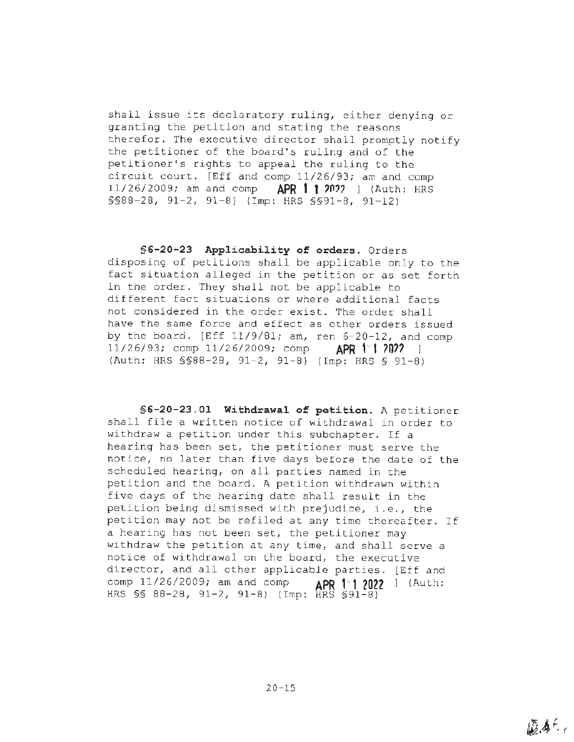shall issue its declaratory ruling, either denying or granting the petition and stating the reasons therefor. The executive director shall promptly notify the petitioner of the board's ruling and of the petitioner's rights to appeal the ruling to the circuit court. [Eff and comp 11/26/93; am and comp 11/26/2009; am and comp **APR 1·· 1 ?0?7** ] (Auth: HRS §§88-28, 91-2, 91-8) (Imp: HRS §§91-8, 91-12)

**§6-20-23 Applicability of orders.** Orders disposing of petitions shall be applicable only to the fact situation alleged in the petition or as set forth in the order. They shall not be applicable to different fact situations or where additional facts not considered in the order exist. The order shall have the same force and effect as other orders issued by the board. [Eff 11/9/81; am, ren 6-20-12, and comp 11/26/93; comp 11/26/2009; comp **APR 1·1 ?0??** ] (Auth: HRS §§88-28, 91-2, 91-8) (Imp: HRS § 91-8)

**§[6-20-23.01](https://6-20-23.01) Withdrawal of petition.** A petitioner shall file a written notice of withdrawal in order to withdraw a petition under this subchapter. If a hearing has been set, the petitioner must serve the notice, no later than five days before the date of **the**  scheduled hearing, on all parties named in the petition and the board. A petition withdrawn within five days of the hearing date shall result in the petition being dismissed with prejudice, i.e., the petition may not be refiled at any time thereafter. If a hearing has not been set, the petitioner may withdraw the petition at any time, and shall serve a notice of withdrawal on the board, the executive director, and all other applicable parties. [Eff and comp 11/26/2009; am and comp **APR 1··1 2022** l (Auth: HRS §§ 88-28, 91-2, 91-8) (Imp: HRS §91-8)

20-15